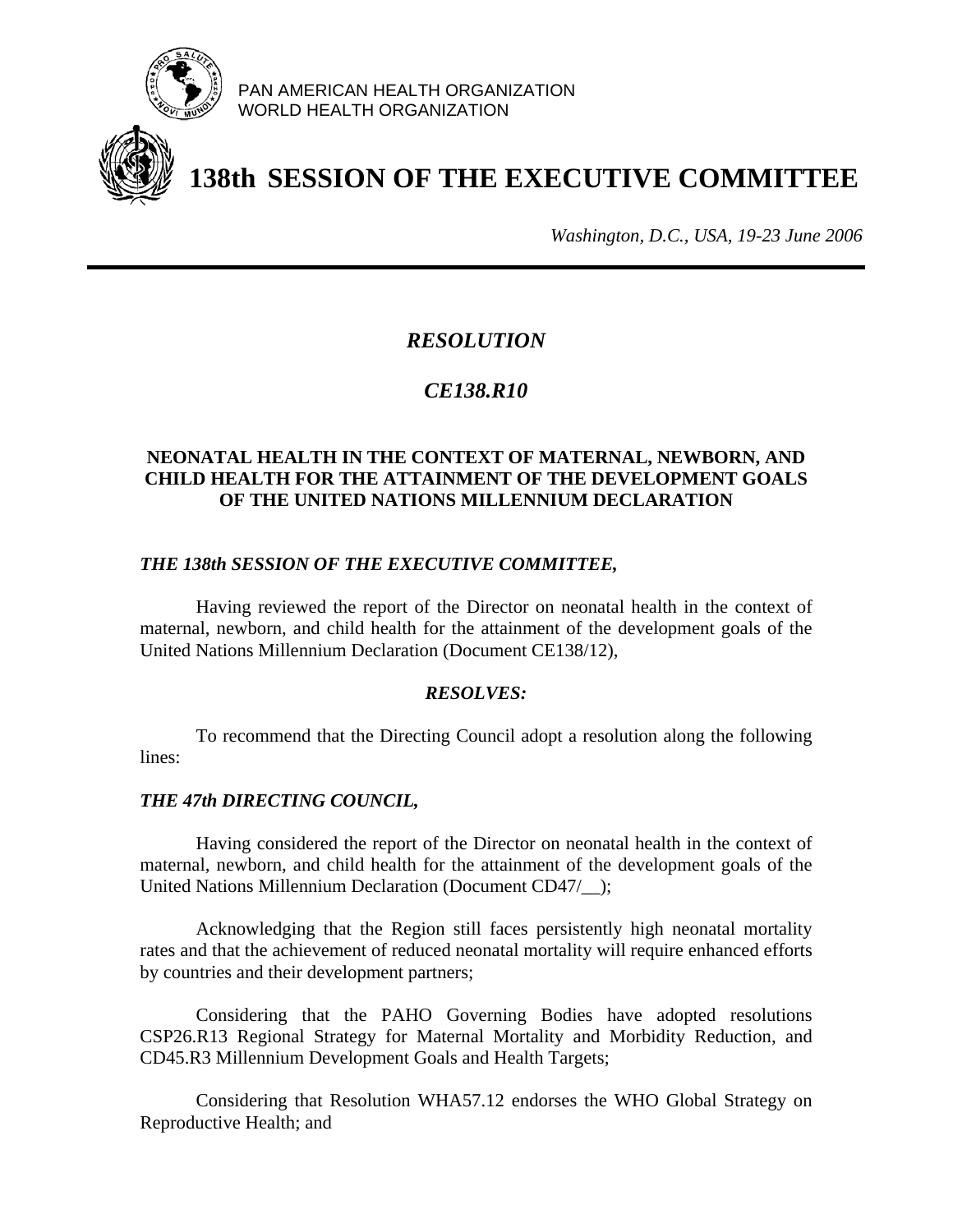

PAN AMERICAN HEALTH ORGANIZATION WORLD HEALTH ORGANIZATION



# **138th SESSION OF THE EXECUTIVE COMMITTEE**

*Washington, D.C., USA, 19-23 June 2006*

## *RESOLUTION*

## *CE138.R10*

#### **NEONATAL HEALTH IN THE CONTEXT OF MATERNAL, NEWBORN, AND CHILD HEALTH FOR THE ATTAINMENT OF THE DEVELOPMENT GOALS OF THE UNITED NATIONS MILLENNIUM DECLARATION**

### *THE 138th SESSION OF THE EXECUTIVE COMMITTEE,*

Having reviewed the report of the Director on neonatal health in the context of maternal, newborn, and child health for the attainment of the development goals of the United Nations Millennium Declaration (Document CE138/12),

#### *RESOLVES:*

To recommend that the Directing Council adopt a resolution along the following lines:

#### *THE 47th DIRECTING COUNCIL,*

Having considered the report of the Director on neonatal health in the context of maternal, newborn, and child health for the attainment of the development goals of the United Nations Millennium Declaration (Document CD47/\_\_);

Acknowledging that the Region still faces persistently high neonatal mortality rates and that the achievement of reduced neonatal mortality will require enhanced efforts by countries and their development partners;

Considering that the PAHO Governing Bodies have adopted resolutions CSP26.R13 Regional Strategy for Maternal Mortality and Morbidity Reduction, and CD45.R3 Millennium Development Goals and Health Targets;

Considering that Resolution WHA57.12 endorses the WHO Global Strategy on Reproductive Health; and